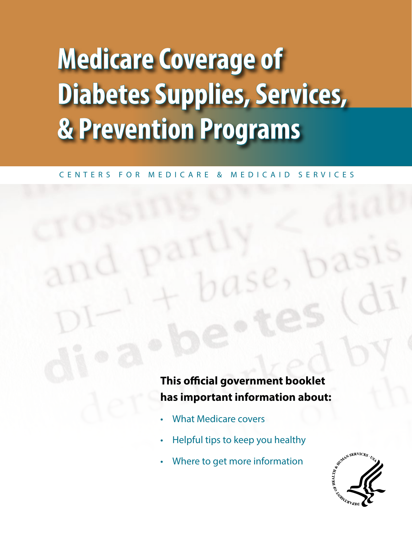### **Medicare Coverage of Diabetes Supplies, Services, & Prevention Programs**

### C E N T E R S F O R M E D I C A R E & M E D I C A I D S E R V I C E S

### **This official government booklet has important information about:**

- What Medicare covers
- Helpful tips to keep you healthy
- Where to get more information

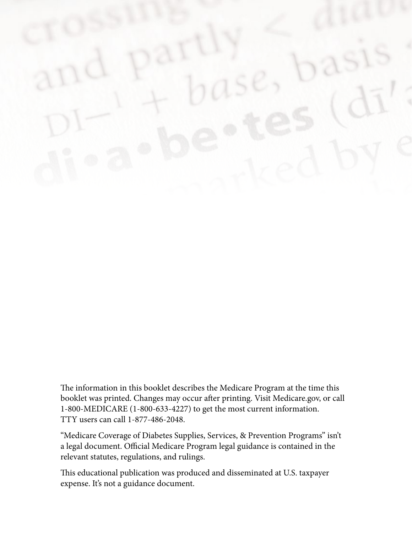The information in this booklet describes the Medicare Program at the time this booklet was printed. Changes may occur after printing. Visit [Medicare.gov](http://Medicare.gov), or call 1-800-MEDICARE (1-800-633-4227) to get the most current information. TTY users can call 1-877-486-2048.

"Medicare Coverage of Diabetes Supplies, Services, & Prevention Programs" isn't a legal document. Official Medicare Program legal guidance is contained in the relevant statutes, regulations, and rulings.

This educational publication was produced and disseminated at U.S. taxpayer expense. It's not a guidance document.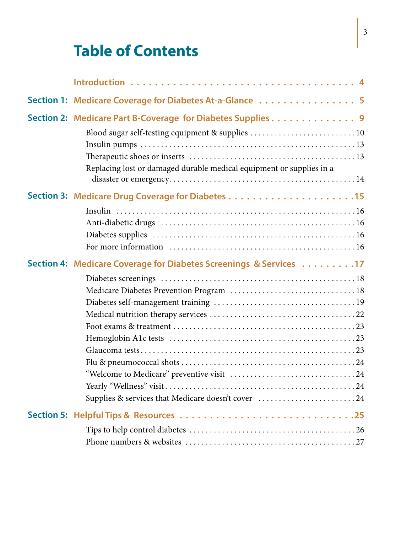### **Table of Contents**

|  | Section 1: Medicare Coverage for Diabetes At-a-Glance  5                                                        |  |
|--|-----------------------------------------------------------------------------------------------------------------|--|
|  | Section 2: Medicare Part B-Coverage for Diabetes Supplies 9<br>Blood sugar self-testing equipment & supplies 10 |  |
|  |                                                                                                                 |  |
|  |                                                                                                                 |  |
|  |                                                                                                                 |  |
|  | Replacing lost or damaged durable medical equipment or supplies in a                                            |  |
|  |                                                                                                                 |  |
|  |                                                                                                                 |  |
|  |                                                                                                                 |  |
|  |                                                                                                                 |  |
|  |                                                                                                                 |  |
|  | Section 4: Medicare Coverage for Diabetes Screenings & Services 17                                              |  |
|  |                                                                                                                 |  |
|  |                                                                                                                 |  |
|  |                                                                                                                 |  |
|  |                                                                                                                 |  |
|  |                                                                                                                 |  |
|  |                                                                                                                 |  |
|  |                                                                                                                 |  |
|  |                                                                                                                 |  |
|  |                                                                                                                 |  |
|  |                                                                                                                 |  |
|  | Supplies & services that Medicare doesn't cover 24                                                              |  |
|  |                                                                                                                 |  |
|  |                                                                                                                 |  |
|  |                                                                                                                 |  |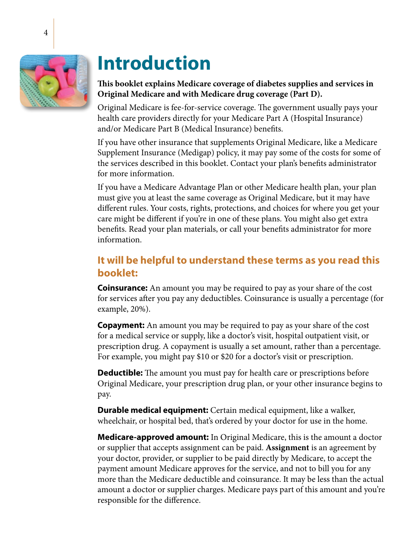<span id="page-3-0"></span>

### **Introduction**

### **This booklet explains Medicare coverage of diabetes supplies and services in Original Medicare and with Medicare drug coverage (Part D).**

Original Medicare is fee-for-service coverage. The government usually pays your health care providers directly for your Medicare Part A (Hospital Insurance) and/or Medicare Part B (Medical Insurance) benefits.

If you have other insurance that supplements Original Medicare, like a Medicare Supplement Insurance (Medigap) policy, it may pay some of the costs for some of the services described in this booklet. Contact your plan's benefits administrator for more information.

If you have a Medicare Advantage Plan or other Medicare health plan, your plan must give you at least the same coverage as Original Medicare, but it may have different rules. Your costs, rights, protections, and choices for where you get your care might be different if you're in one of these plans. You might also get extra benefits. Read your plan materials, or call your benefits administrator for more information.

### **It will be helpful to understand these terms as you read this booklet:**

**Coinsurance:** An amount you may be required to pay as your share of the cost for services after you pay any deductibles. Coinsurance is usually a percentage (for example, 20%).

**Copayment:** An amount you may be required to pay as your share of the cost for a medical service or supply, like a doctor's visit, hospital outpatient visit, or prescription drug. A copayment is usually a set amount, rather than a percentage. For example, you might pay \$10 or \$20 for a doctor's visit or prescription.

**Deductible:** The amount you must pay for health care or prescriptions before Original Medicare, your prescription drug plan, or your other insurance begins to pay.

**Durable medical equipment:** Certain medical equipment, like a walker, wheelchair, or hospital bed, that's ordered by your doctor for use in the home.

**Medicare-approved amount:** In Original Medicare, this is the amount a doctor or supplier that accepts assignment can be paid. **Assignment** is an agreement by your doctor, provider, or supplier to be paid directly by Medicare, to accept the payment amount Medicare approves for the service, and not to bill you for any more than the Medicare deductible and coinsurance. It may be less than the actual amount a doctor or supplier charges. Medicare pays part of this amount and you're responsible for the difference.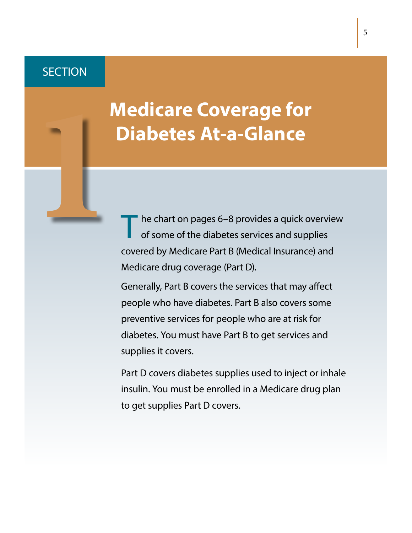### <span id="page-4-0"></span>**SECTION**

### **1 Medicare Coverage for Diabetes At-a-Glance**

T he chart on [pages 6–8](#page-5-0) provides a quick overview<br>of some of the diabetes services and supplies covered by Medicare Part B (Medical Insurance) and Medicare drug coverage (Part D).

Generally, Part B covers the services that may affect people who have diabetes. Part B also covers some preventive services for people who are at risk for diabetes. You must have Part B to get services and supplies it covers.

Part D covers diabetes supplies used to inject or inhale insulin. You must be enrolled in a Medicare drug plan to get supplies Part D covers.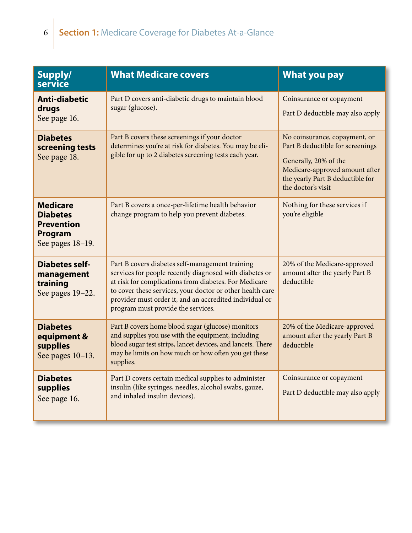<span id="page-5-0"></span>

| Supply/<br>service                                                                     | <b>What Medicare covers</b>                                                                                                                                                                                                                                                                                                       | <b>What you pay</b>                                                                                                                                                                    |
|----------------------------------------------------------------------------------------|-----------------------------------------------------------------------------------------------------------------------------------------------------------------------------------------------------------------------------------------------------------------------------------------------------------------------------------|----------------------------------------------------------------------------------------------------------------------------------------------------------------------------------------|
| <b>Anti-diabetic</b><br>drugs<br>See page 16.                                          | Part D covers anti-diabetic drugs to maintain blood<br>sugar (glucose).                                                                                                                                                                                                                                                           | Coinsurance or copayment<br>Part D deductible may also apply                                                                                                                           |
| <b>Diabetes</b><br>screening tests<br>See page 18.                                     | Part B covers these screenings if your doctor<br>determines you're at risk for diabetes. You may be eli-<br>gible for up to 2 diabetes screening tests each year.                                                                                                                                                                 | No coinsurance, copayment, or<br>Part B deductible for screenings<br>Generally, 20% of the<br>Medicare-approved amount after<br>the yearly Part B deductible for<br>the doctor's visit |
| <b>Medicare</b><br><b>Diabetes</b><br><b>Prevention</b><br>Program<br>See pages 18-19. | Part B covers a once-per-lifetime health behavior<br>change program to help you prevent diabetes.                                                                                                                                                                                                                                 | Nothing for these services if<br>you're eligible                                                                                                                                       |
| <b>Diabetes self-</b><br>management<br>training<br>See pages 19-22.                    | Part B covers diabetes self-management training<br>services for people recently diagnosed with diabetes or<br>at risk for complications from diabetes. For Medicare<br>to cover these services, your doctor or other health care<br>provider must order it, and an accredited individual or<br>program must provide the services. | 20% of the Medicare-approved<br>amount after the yearly Part B<br>deductible                                                                                                           |
| <b>Diabetes</b><br>equipment &<br>supplies<br>See pages 10-13.                         | Part B covers home blood sugar (glucose) monitors<br>and supplies you use with the equipment, including<br>blood sugar test strips, lancet devices, and lancets. There<br>may be limits on how much or how often you get these<br>supplies.                                                                                       | 20% of the Medicare-approved<br>amount after the yearly Part B<br>deductible                                                                                                           |
| <b>Diabetes</b><br>supplies<br>See page 16.                                            | Part D covers certain medical supplies to administer<br>insulin (like syringes, needles, alcohol swabs, gauze,<br>and inhaled insulin devices).                                                                                                                                                                                   | Coinsurance or copayment<br>Part D deductible may also apply                                                                                                                           |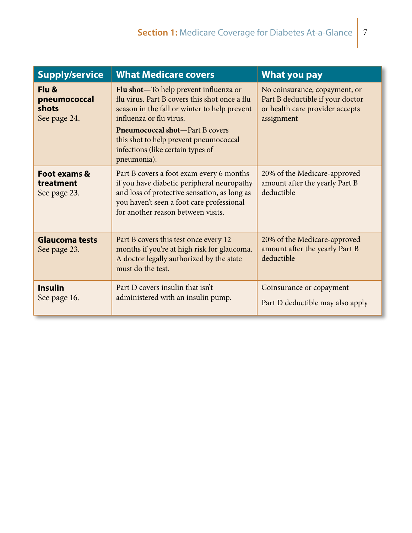| <b>Supply/service</b>                          | <b>What Medicare covers</b>                                                                                                                                                                                                                                                                                | What you pay                                                                                                       |
|------------------------------------------------|------------------------------------------------------------------------------------------------------------------------------------------------------------------------------------------------------------------------------------------------------------------------------------------------------------|--------------------------------------------------------------------------------------------------------------------|
| Flu &<br>pneumococcal<br>shots<br>See page 24. | Flu shot—To help prevent influenza or<br>flu virus. Part B covers this shot once a flu<br>season in the fall or winter to help prevent<br>influenza or flu virus.<br><b>Pneumococcal shot</b> —Part B covers<br>this shot to help prevent pneumococcal<br>infections (like certain types of<br>pneumonia). | No coinsurance, copayment, or<br>Part B deductible if your doctor<br>or health care provider accepts<br>assignment |
| Foot exams &<br>treatment<br>See page 23.      | Part B covers a foot exam every 6 months<br>if you have diabetic peripheral neuropathy<br>and loss of protective sensation, as long as<br>you haven't seen a foot care professional<br>for another reason between visits.                                                                                  | 20% of the Medicare-approved<br>amount after the yearly Part B<br>deductible                                       |
| <b>Glaucoma tests</b><br>See page 23.          | Part B covers this test once every 12<br>months if you're at high risk for glaucoma.<br>A doctor legally authorized by the state<br>must do the test.                                                                                                                                                      | 20% of the Medicare-approved<br>amount after the yearly Part B<br>deductible                                       |
| <b>Insulin</b><br>See page 16.                 | Part D covers insulin that isn't<br>administered with an insulin pump.                                                                                                                                                                                                                                     | Coinsurance or copayment<br>Part D deductible may also apply                                                       |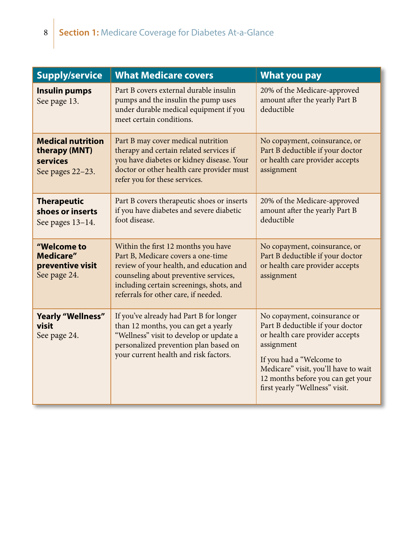| <b>Supply/service</b>                                                     | <b>What Medicare covers</b>                                                                                                                                                                                                                        | <b>What you pay</b>                                                                                                                                                                                                                                          |
|---------------------------------------------------------------------------|----------------------------------------------------------------------------------------------------------------------------------------------------------------------------------------------------------------------------------------------------|--------------------------------------------------------------------------------------------------------------------------------------------------------------------------------------------------------------------------------------------------------------|
| <b>Insulin pumps</b><br>See page 13.                                      | Part B covers external durable insulin<br>pumps and the insulin the pump uses<br>under durable medical equipment if you<br>meet certain conditions.                                                                                                | 20% of the Medicare-approved<br>amount after the yearly Part B<br>deductible                                                                                                                                                                                 |
| <b>Medical nutrition</b><br>therapy (MNT)<br>services<br>See pages 22-23. | Part B may cover medical nutrition<br>therapy and certain related services if<br>you have diabetes or kidney disease. Your<br>doctor or other health care provider must<br>refer you for these services.                                           | No copayment, coinsurance, or<br>Part B deductible if your doctor<br>or health care provider accepts<br>assignment                                                                                                                                           |
| <b>Therapeutic</b><br>shoes or inserts<br>See pages 13-14.                | Part B covers therapeutic shoes or inserts<br>if you have diabetes and severe diabetic<br>foot disease.                                                                                                                                            | 20% of the Medicare-approved<br>amount after the yearly Part B<br>deductible                                                                                                                                                                                 |
| "Welcome to<br><b>Medicare"</b><br>preventive visit<br>See page 24.       | Within the first 12 months you have<br>Part B, Medicare covers a one-time<br>review of your health, and education and<br>counseling about preventive services,<br>including certain screenings, shots, and<br>referrals for other care, if needed. | No copayment, coinsurance, or<br>Part B deductible if your doctor<br>or health care provider accepts<br>assignment                                                                                                                                           |
| <b>Yearly "Wellness"</b><br>visit<br>See page 24.                         | If you've already had Part B for longer<br>than 12 months, you can get a yearly<br>"Wellness" visit to develop or update a<br>personalized prevention plan based on<br>your current health and risk factors.                                       | No copayment, coinsurance or<br>Part B deductible if your doctor<br>or health care provider accepts<br>assignment<br>If you had a "Welcome to<br>Medicare" visit, you'll have to wait<br>12 months before you can get your<br>first yearly "Wellness" visit. |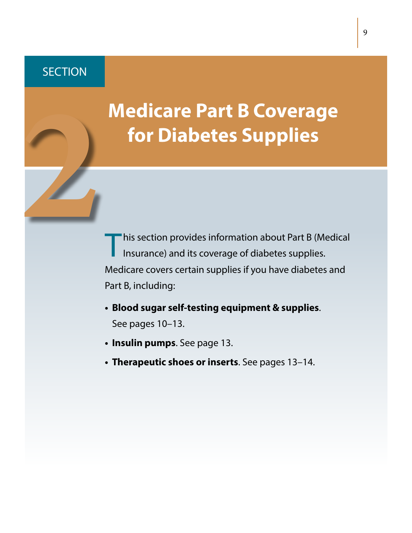### <span id="page-8-0"></span>**SECTION**

# **Medicare Part B Coverage for Diabetes Supplies 2**

Inis section provides information about Part B (Medical Insurance) and its coverage of diabetes supplies. Medicare covers certain supplies if you have diabetes and Part B, including:

- **• Blood sugar self-testing equipment & supplies**. [See pages 10–13](#page-9-0).
- **• Insulin pumps**. [See page 13.](#page-12-0)
- **• Therapeutic shoes or inserts**. [See pages 13–14.](#page-12-0)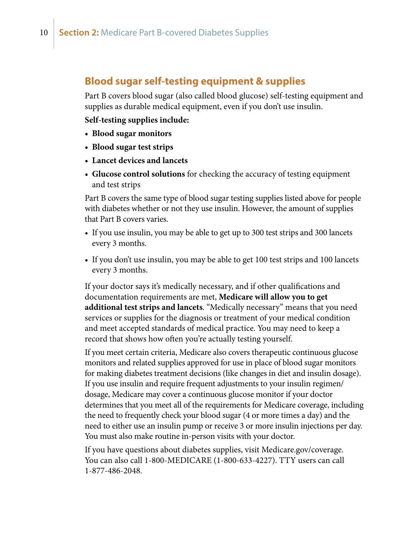### <span id="page-9-0"></span>**Blood sugar self-testing equipment & supplies**

Part B covers blood sugar (also called blood glucose) self-testing equipment and supplies as durable medical equipment, even if you don't use insulin.

### **Self-testing supplies include:**

- **• Blood sugar monitors**
- **• Blood sugar test strips**
- **• Lancet devices and lancets**
- **• Glucose control solutions** for checking the accuracy of testing equipment and test strips

Part B covers the same type of blood sugar testing supplies listed above for people with diabetes whether or not they use insulin. However, the amount of supplies that Part B covers varies.

- If you use insulin, you may be able to get up to 300 test strips and 300 lancets every 3 months.
- If you don't use insulin, you may be able to get 100 test strips and 100 lancets every 3 months.

If your doctor says it's medically necessary, and if other qualifications and documentation requirements are met, **Medicare will allow you to get additional test strips and lancets**. "Medically necessary" means that you need services or supplies for the diagnosis or treatment of your medical condition and meet accepted standards of medical practice. You may need to keep a record that shows how often you're actually testing yourself.

If you meet certain criteria, Medicare also covers therapeutic continuous glucose monitors and related supplies approved for use in place of blood sugar monitors for making diabetes treatment decisions (like changes in diet and insulin dosage). If you use insulin and require frequent adjustments to your insulin regimen/ dosage, Medicare may cover a continuous glucose monitor if your doctor determines that you meet all of the requirements for Medicare coverage, including the need to frequently check your blood sugar (4 or more times a day) and the need to either use an insulin pump or receive 3 or more insulin injections per day. You must also make routine in-person visits with your doctor.

If you have questions about diabetes supplies, visit [Medicare.gov/coverage.](http://Medicare.gov/coverage) You can also call 1-800-MEDICARE (1-800-633-4227). TTY users can call 1-877-486-2048.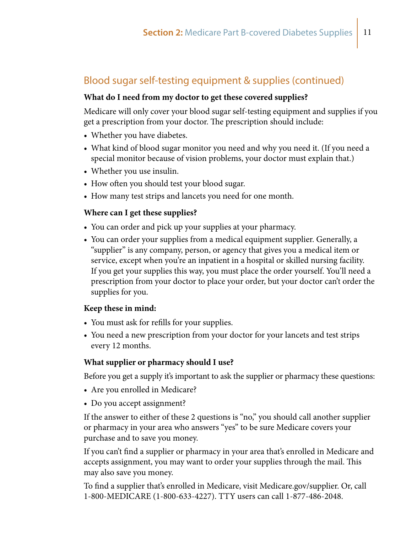### Blood sugar self-testing equipment & supplies (continued)

### **What do I need from my doctor to get these covered supplies?**

Medicare will only cover your blood sugar self-testing equipment and supplies if you get a prescription from your doctor. The prescription should include:

- Whether you have diabetes.
- What kind of blood sugar monitor you need and why you need it. (If you need a special monitor because of vision problems, your doctor must explain that.)
- Whether you use insulin.
- How often you should test your blood sugar.
- How many test strips and lancets you need for one month.

### **Where can I get these supplies?**

- You can order and pick up your supplies at your pharmacy.
- You can order your supplies from a medical equipment supplier. Generally, a "supplier" is any company, person, or agency that gives you a medical item or service, except when you're an inpatient in a hospital or skilled nursing facility. If you get your supplies this way, you must place the order yourself. You'll need a prescription from your doctor to place your order, but your doctor can't order the supplies for you.

### **Keep these in mind:**

- You must ask for refills for your supplies.
- You need a new prescription from your doctor for your lancets and test strips every 12 months.

### **What supplier or pharmacy should I use?**

Before you get a supply it's important to ask the supplier or pharmacy these questions:

- Are you enrolled in Medicare?
- Do you accept assignment?

If the answer to either of these 2 questions is "no," you should call another supplier or pharmacy in your area who answers "yes" to be sure Medicare covers your purchase and to save you money.

If you can't find a supplier or pharmacy in your area that's enrolled in Medicare and accepts assignment, you may want to order your supplies through the mail. This may also save you money.

To find a supplier that's enrolled in Medicare, visit [Medicare.gov/supplier](http://Medicare.gov/supplier). Or, call 1-800-MEDICARE (1-800-633-4227). TTY users can call 1-877-486-2048.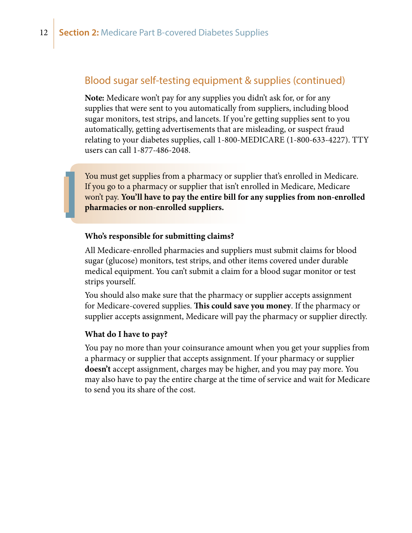### Blood sugar self-testing equipment & supplies (continued)

**Note:** Medicare won't pay for any supplies you didn't ask for, or for any supplies that were sent to you automatically from suppliers, including blood sugar monitors, test strips, and lancets. If you're getting supplies sent to you automatically, getting advertisements that are misleading, or suspect fraud relating to your diabetes supplies, call 1-800-MEDICARE (1-800-633-4227). TTY users can call 1-877-486-2048.

You must get supplies from a pharmacy or supplier that's enrolled in Medicare. If you go to a pharmacy or supplier that isn't enrolled in Medicare, Medicare won't pay. **You'll have to pay the entire bill for any supplies from non-enrolled pharmacies or non-enrolled suppliers.**

### **Who's responsible for submitting claims?**

All Medicare-enrolled pharmacies and suppliers must submit claims for blood sugar (glucose) monitors, test strips, and other items covered under durable medical equipment. You can't submit a claim for a blood sugar monitor or test strips yourself.

You should also make sure that the pharmacy or supplier accepts assignment for Medicare-covered supplies. **This could save you money**. If the pharmacy or supplier accepts assignment, Medicare will pay the pharmacy or supplier directly.

### **What do I have to pay?**

You pay no more than your coinsurance amount when you get your supplies from a pharmacy or supplier that accepts assignment. If your pharmacy or supplier **doesn't** accept assignment, charges may be higher, and you may pay more. You may also have to pay the entire charge at the time of service and wait for Medicare to send you its share of the cost.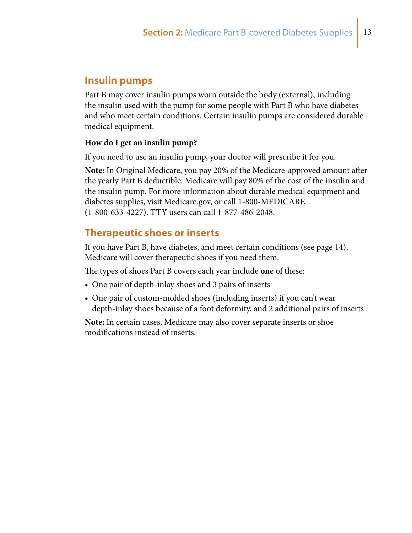### <span id="page-12-0"></span>**Insulin pumps**

Part B may cover insulin pumps worn outside the body (external), including the insulin used with the pump for some people with Part B who have diabetes and who meet certain conditions. Certain insulin pumps are considered durable medical equipment.

### **How do I get an insulin pump?**

If you need to use an insulin pump, your doctor will prescribe it for you.

**Note:** In Original Medicare, you pay 20% of the Medicare-approved amount after the yearly Part B deductible. Medicare will pay 80% of the cost of the insulin and the insulin pump. For more information about durable medical equipment and diabetes supplies, visit [Medicare.gov,](http://Medicare.gov) or call 1-800-MEDICARE (1-800-633-4227). TTY users can call 1-877-486-2048.

### **Therapeutic shoes or inserts**

If you have Part B, have diabetes, and meet certain conditions ([see page 14](#page-13-0)), Medicare will cover therapeutic shoes if you need them.

The types of shoes Part B covers each year include **one** of these:

- One pair of depth-inlay shoes and 3 pairs of inserts
- One pair of custom-molded shoes (including inserts) if you can't wear depth-inlay shoes because of a foot deformity, and 2 additional pairs of inserts

**Note:** In certain cases, Medicare may also cover separate inserts or shoe modifications instead of inserts.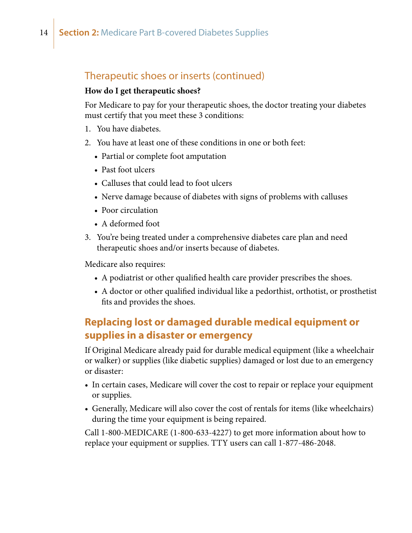### <span id="page-13-0"></span>Therapeutic shoes or inserts (continued)

### **How do I get therapeutic shoes?**

For Medicare to pay for your therapeutic shoes, the doctor treating your diabetes must certify that you meet these 3 conditions:

- 1. You have diabetes.
- 2. You have at least one of these conditions in one or both feet:
	- Partial or complete foot amputation
	- Past foot ulcers
	- Calluses that could lead to foot ulcers
	- Nerve damage because of diabetes with signs of problems with calluses
	- Poor circulation
	- A deformed foot
- 3. You're being treated under a comprehensive diabetes care plan and need therapeutic shoes and/or inserts because of diabetes.

Medicare also requires:

- A podiatrist or other qualified health care provider prescribes the shoes.
- A doctor or other qualified individual like a pedorthist, orthotist, or prosthetist fits and provides the shoes.

### **Replacing lost or damaged durable medical equipment or supplies in a disaster or emergency**

If Original Medicare already paid for durable medical equipment (like a wheelchair or walker) or supplies (like diabetic supplies) damaged or lost due to an emergency or disaster:

- In certain cases, Medicare will cover the cost to repair or replace your equipment or supplies.
- Generally, Medicare will also cover the cost of rentals for items (like wheelchairs) during the time your equipment is being repaired.

Call 1-800-MEDICARE (1-800-633-4227) to get more information about how to replace your equipment or supplies. TTY users can call 1-877-486-2048.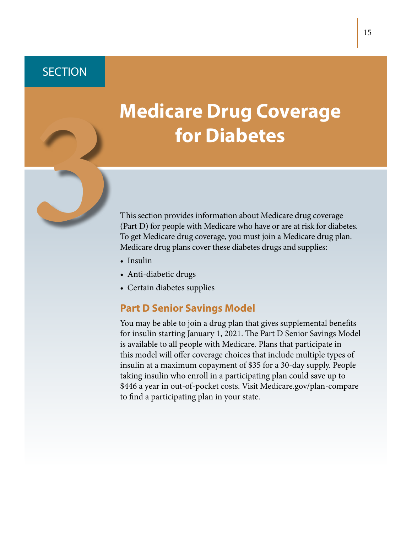### <span id="page-14-0"></span>**SECTION**

# **Medicare Drug Coverage for Diabetes**<br> **3 This section provides information about Medicare drug coverage**<br>
(Part D) for people with Medicare who have or are at risk for diabeter<br>
To get Medicare drug coverage, you must join a Medicare drug pla

(Part D) for people with Medicare who have or are at risk for diabetes. To get Medicare drug coverage, you must join a Medicare drug plan. Medicare drug plans cover these diabetes drugs and supplies:

- [Insulin](#page-15-0)
- Anti-diabetic drugs
- Certain diabetes supplies

### **Part D Senior Savings Model**

You may be able to join a drug plan that gives supplemental benefits for insulin starting January 1, 2021. The Part D Senior Savings Model is available to all people with Medicare. Plans that participate in this model will offer coverage choices that include multiple types of insulin at a maximum copayment of \$35 for a 30-day supply. People taking insulin who enroll in a participating plan could save up to \$446 a year in out-of-pocket costs. Visit [Medicare.gov/plan-compare](http://Medicare.gov/plan-compare) to find a participating plan in your state.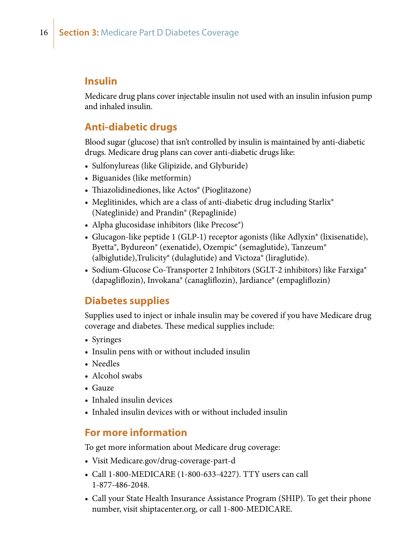### <span id="page-15-0"></span>**Insulin**

Medicare drug plans cover injectable insulin not used with an insulin infusion pump and inhaled insulin.

### **Anti-diabetic drugs**

Blood sugar (glucose) that isn't controlled by insulin is maintained by anti-diabetic drugs. Medicare drug plans can cover anti-diabetic drugs like:

- Sulfonylureas (like Glipizide, and Glyburide)
- Biguanides (like metformin)
- Thiazolidinediones, like Actos® (Pioglitazone)
- Meglitinides, which are a class of anti-diabetic drug including Starlix® (Nateglinide) and Prandin® (Repaglinide)
- Alpha glucosidase inhibitors (like Precose<sup>®</sup>)
- Glucagon-like peptide 1 (GLP-1) receptor agonists (like Adlyxin<sup>®</sup> (lixisenatide), Byetta®, Bydureon® (exenatide), Ozempic® (semaglutide), Tanzeum® (albiglutide),Trulicity® (dulaglutide) and Victoza® (liraglutide).
- Sodium-Glucose Co-Transporter 2 Inhibitors (SGLT-2 inhibitors) like Farxiga<sup>®</sup> (dapagliflozin), Invokana® (canagliflozin), Jardiance® (empagliflozin)

### **Diabetes supplies**

Supplies used to inject or inhale insulin may be covered if you have Medicare drug coverage and diabetes. These medical supplies include:

- Syringes
- Insulin pens with or without included insulin
- Needles
- Alcohol swabs
- Gauze
- Inhaled insulin devices
- Inhaled insulin devices with or without included insulin

### **For more information**

To get more information about Medicare drug coverage:

- [Visit](http://www.medicare.gov/) [Medicare.gov/drug-coverage-part-d](http://medicare.gov/drug-coverage-part-d)
- Call 1-800-MEDICARE (1-800-633-4227). TTY users can call 1-877-486-2048.
- Call your State Health Insurance Assistance Program (SHIP). To get their phone number, visit [shiptacenter.org,](http://shiptacenter.org) or call 1-800-MEDICARE.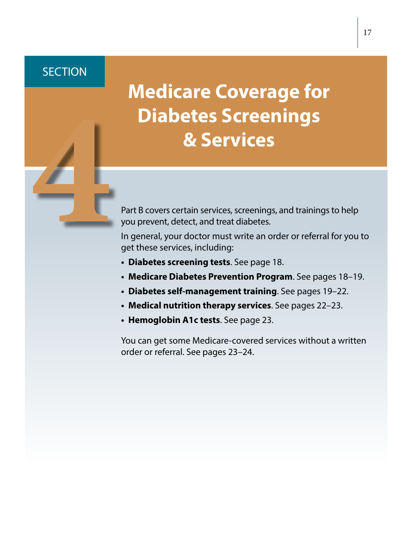### <span id="page-16-0"></span>**SECTION**

### **Medicare Coverage for Diabetes Screenings Example 18 Part B covers certain services, screenings, and trainings to help**<br>Part B covers certain services, screenings, and trainings to help<br>you prevent, detect, and treat diabetes.<br>In general, your doctor must write a

you prevent, detect, and treat diabetes.

In general, your doctor must write an order or referral for you to get these services, including:

- **• Diabetes screening tests**. [See page 18.](#page-17-0)
- **• Medicare Diabetes Prevention Program**. [See pages 18–19.](#page-17-0)
- **• Diabetes self-management training**. [See pages 19–2](#page-18-0)2.
- **• Medical nutrition therapy services**. [See pages 2](#page-21-0)2–23.
- **• Hemoglobin A1c tests**. [See page 23.](#page-22-0)

You can get some Medicare-covered services without a written order or referral. [See pages 23–24.](#page-22-0)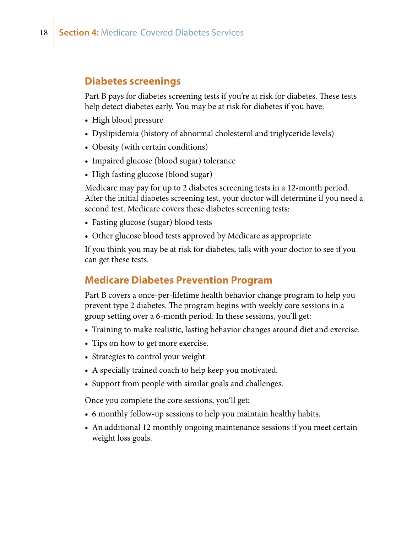### <span id="page-17-0"></span>**Diabetes screenings**

Part B pays for diabetes screening tests if you're at risk for diabetes. These tests help detect diabetes early. You may be at risk for diabetes if you have:

- High blood pressure
- Dyslipidemia (history of abnormal cholesterol and triglyceride levels)
- Obesity (with certain conditions)
- Impaired glucose (blood sugar) tolerance
- High fasting glucose (blood sugar)

Medicare may pay for up to 2 diabetes screening tests in a 12-month period. After the initial diabetes screening test, your doctor will determine if you need a second test. Medicare covers these diabetes screening tests:

- Fasting glucose (sugar) blood tests
- Other glucose blood tests approved by Medicare as appropriate

If you think you may be at risk for diabetes, talk with your doctor to see if you can get these tests.

### **Medicare Diabetes Prevention Program**

Part B covers a once-per-lifetime health behavior change program to help you prevent type 2 diabetes. The program begins with weekly core sessions in a group setting over a 6-month period. In these sessions, you'll get:

- Training to make realistic, lasting behavior changes around diet and exercise.
- Tips on how to get more exercise.
- Strategies to control your weight.
- A specially trained coach to help keep you motivated.
- Support from people with similar goals and challenges.

Once you complete the core sessions, you'll get:

- 6 monthly follow-up sessions to help you maintain healthy habits.
- An additional 12 monthly ongoing maintenance sessions if you meet certain weight loss goals.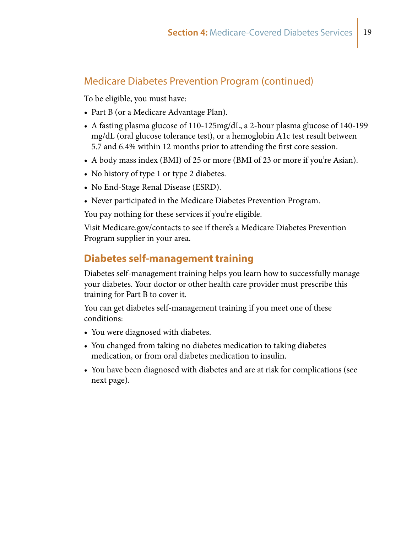### <span id="page-18-0"></span>Medicare Diabetes Prevention Program (continued)

To be eligible, you must have:

- Part B (or a Medicare Advantage Plan).
- A fasting plasma glucose of 110-125mg/dL, a 2-hour plasma glucose of 140-199 mg/dL (oral glucose tolerance test), or a hemoglobin A1c test result between 5.7 and 6.4% within 12 months prior to attending the first core session.
- A body mass index (BMI) of 25 or more (BMI of 23 or more if you're Asian).
- No history of type 1 or type 2 diabetes.
- No End-Stage Renal Disease (ESRD).
- Never participated in the Medicare Diabetes Prevention Program.

You pay nothing for these services if you're eligible.

Visit [Medicare.gov/contacts](http://Medicare.gov/contacts) to see if there's a Medicare Diabetes Prevention Program supplier in your area.

### **Diabetes self-management training**

Diabetes self-management training helps you learn how to successfully manage your diabetes. Your doctor or other health care provider must prescribe this training for Part B to cover it.

You can get diabetes self-management training if you meet one of these conditions:

- You were diagnosed with diabetes.
- You changed from taking no diabetes medication to taking diabetes medication, or from oral diabetes medication to insulin.
- You have been diagnosed with diabetes and are at risk for complications (see next page).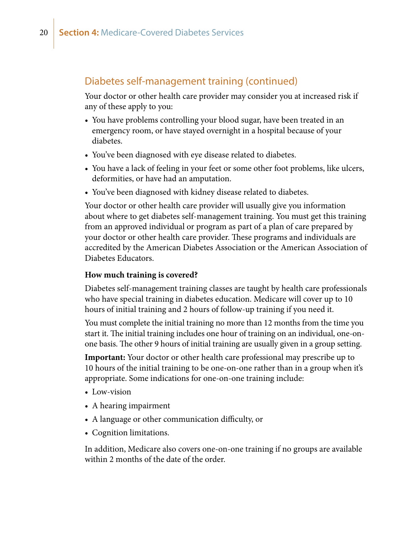### Diabetes self-management training (continued)

Your doctor or other health care provider may consider you at increased risk if any of these apply to you:

- You have problems controlling your blood sugar, have been treated in an emergency room, or have stayed overnight in a hospital because of your diabetes.
- You've been diagnosed with eye disease related to diabetes.
- You have a lack of feeling in your feet or some other foot problems, like ulcers, deformities, or have had an amputation.
- You've been diagnosed with kidney disease related to diabetes.

Your doctor or other health care provider will usually give you information about where to get diabetes self-management training. You must get this training from an approved individual or program as part of a plan of care prepared by your doctor or other health care provider. These programs and individuals are accredited by the American Diabetes Association or the American Association of Diabetes Educators.

### **How much training is covered?**

Diabetes self-management training classes are taught by health care professionals who have special training in diabetes education. Medicare will cover up to 10 hours of initial training and 2 hours of follow-up training if you need it.

You must complete the initial training no more than 12 months from the time you start it. The initial training includes one hour of training on an individual, one-onone basis. The other 9 hours of initial training are usually given in a group setting.

**Important:** Your doctor or other health care professional may prescribe up to 10 hours of the initial training to be one-on-one rather than in a group when it's appropriate. Some indications for one-on-one training include:

- Low-vision
- A hearing impairment
- A language or other communication difficulty, or
- Cognition limitations.

In addition, Medicare also covers one-on-one training if no groups are available within 2 months of the date of the order.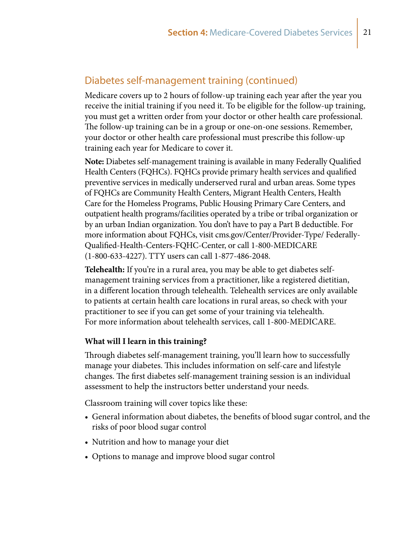### Diabetes self-management training (continued)

Medicare covers up to 2 hours of follow-up training each year after the year you receive the initial training if you need it. To be eligible for the follow-up training, you must get a written order from your doctor or other health care professional. The follow-up training can be in a group or one-on-one sessions. Remember, your doctor or other health care professional must prescribe this follow-up training each year for Medicare to cover it.

**Note:** Diabetes self-management training is available in many Federally Qualified Health Centers (FQHCs). FQHCs provide primary health services and qualified preventive services in medically underserved rural and urban areas. Some types of FQHCs are Community Health Centers, Migrant Health Centers, Health Care for the Homeless Programs, Public Housing Primary Care Centers, and outpatient health programs/facilities operated by a tribe or tribal organization or by an urban Indian organization. You don't have to pay a Part B deductible. For more information about FQHCs, visit [cms.gov/Center/Provider-Type/ Federally-](http://cms.gov/Center/Provider-Type/Federally-Qualified-Health-Centers-FQHC-Center)[Qualified-Health-Centers-FQHC-Center,](http://cms.gov/Center/Provider-Type/Federally-Qualified-Health-Centers-FQHC-Center) or call 1-800-MEDICARE (1-800-633-4227). TTY users can call 1-877-486-2048.

**Telehealth:** If you're in a rural area, you may be able to get diabetes selfmanagement training services from a practitioner, like a registered dietitian, in a different location through telehealth. Telehealth services are only available to patients at certain health care locations in rural areas, so check with your practitioner to see if you can get some of your training via telehealth. For more information about telehealth services, call 1-800-MEDICARE.

### **What will I learn in this training?**

Through diabetes self-management training, you'll learn how to successfully manage your diabetes. This includes information on self-care and lifestyle changes. The first diabetes self-management training session is an individual assessment to help the instructors better understand your needs.

Classroom training will cover topics like these:

- General information about diabetes, the benefits of blood sugar control, and the risks of poor blood sugar control
- Nutrition and how to manage your diet
- Options to manage and improve blood sugar control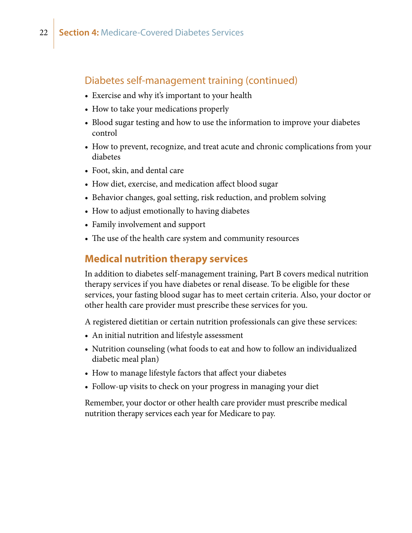### <span id="page-21-0"></span>Diabetes self-management training (continued)

- Exercise and why it's important to your health
- How to take your medications properly
- Blood sugar testing and how to use the information to improve your diabetes control
- How to prevent, recognize, and treat acute and chronic complications from your diabetes
- Foot, skin, and dental care
- How diet, exercise, and medication affect blood sugar
- Behavior changes, goal setting, risk reduction, and problem solving
- How to adjust emotionally to having diabetes
- Family involvement and support
- The use of the health care system and community resources

### **Medical nutrition therapy services**

In addition to diabetes self-management training, Part B covers medical nutrition therapy services if you have diabetes or renal disease. To be eligible for these services, your fasting blood sugar has to meet certain criteria. Also, your doctor or other health care provider must prescribe these services for you.

A registered dietitian or certain nutrition professionals can give these services:

- An initial nutrition and lifestyle assessment
- Nutrition counseling (what foods to eat and how to follow an individualized diabetic meal plan)
- How to manage lifestyle factors that affect your diabetes
- Follow-up visits to check on your progress in managing your diet

Remember, your doctor or other health care provider must prescribe medical nutrition therapy services each year for Medicare to pay.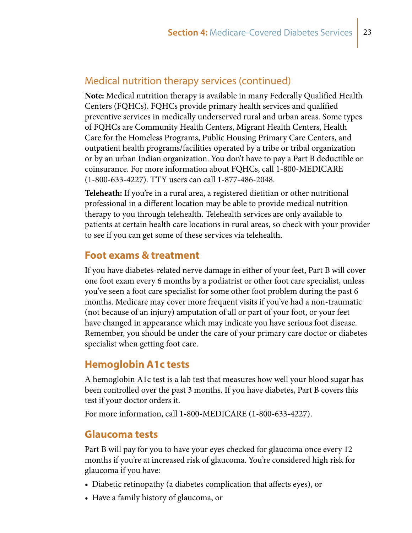### <span id="page-22-0"></span>Medical nutrition therapy services (continued)

**Note:** Medical nutrition therapy is available in many Federally Qualified Health Centers (FQHCs). FQHCs provide primary health services and qualified preventive services in medically underserved rural and urban areas. Some types of FQHCs are Community Health Centers, Migrant Health Centers, Health Care for the Homeless Programs, Public Housing Primary Care Centers, and outpatient health programs/facilities operated by a tribe or tribal organization or by an urban Indian organization. You don't have to pay a Part B deductible or coinsurance. For more information about FQHCs, call 1-800-MEDICARE (1-800-633-4227). TTY users can call 1-877-486-2048.

**Teleheath:** If you're in a rural area, a registered dietitian or other nutritional professional in a different location may be able to provide medical nutrition therapy to you through telehealth. Telehealth services are only available to patients at certain health care locations in rural areas, so check with your provider to see if you can get some of these services via telehealth.

### **Foot exams & treatment**

If you have diabetes-related nerve damage in either of your feet, Part B will cover one foot exam every 6 months by a podiatrist or other foot care specialist, unless you've seen a foot care specialist for some other foot problem during the past 6 months. Medicare may cover more frequent visits if you've had a non-traumatic (not because of an injury) amputation of all or part of your foot, or your feet have changed in appearance which may indicate you have serious foot disease. Remember, you should be under the care of your primary care doctor or diabetes specialist when getting foot care.

### **Hemoglobin A1c tests**

A hemoglobin A1c test is a lab test that measures how well your blood sugar has been controlled over the past 3 months. If you have diabetes, Part B covers this test if your doctor orders it.

For more information, call 1-800-MEDICARE (1-800-633-4227).

### **Glaucoma tests**

Part B will pay for you to have your eyes checked for glaucoma once every 12 months if you're at increased risk of glaucoma. You're considered high risk for glaucoma if you have:

- Diabetic retinopathy (a diabetes complication that affects eyes), or
- Have a family history of glaucoma, or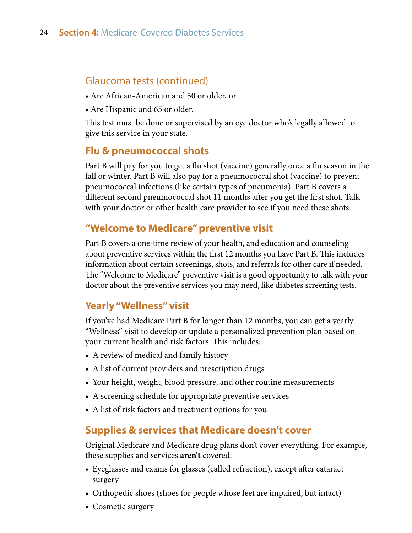### <span id="page-23-0"></span>Glaucoma tests (continued)

- Are African-American and 50 or older, or
- Are Hispanic and 65 or older.

This test must be done or supervised by an eye doctor who's legally allowed to give this service in your state.

### **Flu & pneumococcal shots**

Part B will pay for you to get a flu shot (vaccine) generally once a flu season in the fall or winter. Part B will also pay for a pneumococcal shot (vaccine) to prevent pneumococcal infections (like certain types of pneumonia). Part B covers a different second pneumococcal shot 11 months after you get the first shot. Talk with your doctor or other health care provider to see if you need these shots.

### **"Welcome to Medicare" preventive visit**

Part B covers a one-time review of your health, and education and counseling about preventive services within the first 12 months you have Part B. This includes information about certain screenings, shots, and referrals for other care if needed. The "Welcome to Medicare" preventive visit is a good opportunity to talk with your doctor about the preventive services you may need, like diabetes screening tests.

### **Yearly "Wellness" visit**

If you've had Medicare Part B for longer than 12 months, you can get a yearly "Wellness" visit to develop or update a personalized prevention plan based on your current health and risk factors. This includes:

- A review of medical and family history
- A list of current providers and prescription drugs
- Your height, weight, blood pressure, and other routine measurements
- A screening schedule for appropriate preventive services
- A list of risk factors and treatment options for you

### **Supplies & services that Medicare doesn't cover**

Original Medicare and Medicare drug plans don't cover everything. For example, these supplies and services **aren't** covered:

- Eyeglasses and exams for glasses (called refraction), except after cataract surgery
- Orthopedic shoes (shoes for people whose feet are impaired, but intact)
- Cosmetic surgery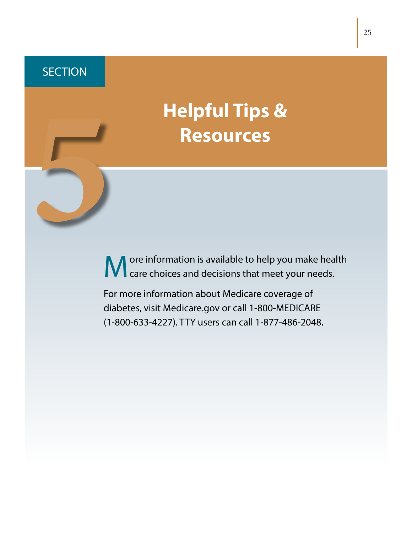<span id="page-24-0"></span>**SECTION** 

# **Helpful Tips & Resources**<br> **Resources**

M ore information is available to help you make health<br>
Care choices and decisions that meet your needs.

For more information about Medicare coverage of diabetes, visit [Medicare.gov](http://www.medicare.gov) or call 1-800-MEDICARE (1-800-633-4227). TTY users can call 1-877-486-2048.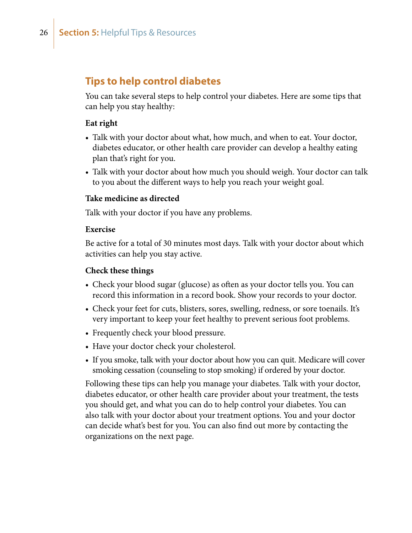### <span id="page-25-0"></span>**Tips to help control diabetes**

You can take several steps to help control your diabetes. Here are some tips that can help you stay healthy:

### **Eat right**

- Talk with your doctor about what, how much, and when to eat. Your doctor, diabetes educator, or other health care provider can develop a healthy eating plan that's right for you.
- Talk with your doctor about how much you should weigh. Your doctor can talk to you about the different ways to help you reach your weight goal.

### **Take medicine as directed**

Talk with your doctor if you have any problems.

### **Exercise**

Be active for a total of 30 minutes most days. Talk with your doctor about which activities can help you stay active.

### **Check these things**

- Check your blood sugar (glucose) as often as your doctor tells you. You can record this information in a record book. Show your records to your doctor.
- Check your feet for cuts, blisters, sores, swelling, redness, or sore toenails. It's very important to keep your feet healthy to prevent serious foot problems.
- Frequently check your blood pressure.
- Have your doctor check your cholesterol.
- If you smoke, talk with your doctor about how you can quit. Medicare will cover smoking cessation (counseling to stop smoking) if ordered by your doctor.

Following these tips can help you manage your diabetes. Talk with your doctor, diabetes educator, or other health care provider about your treatment, the tests you should get, and what you can do to help control your diabetes. You can also talk with your doctor about your treatment options. You and your doctor can decide what's best for you. You can also find out more by contacting the organizations on the next page.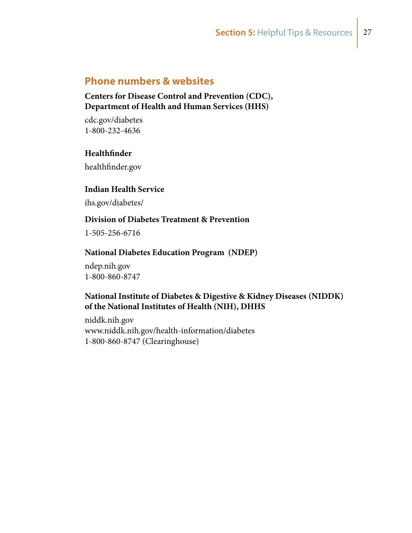### <span id="page-26-0"></span>**Phone numbers & websites**

**Centers for Disease Control and Prevention (CDC), Department of Health and Human Services (HHS)** 

[cdc.gov/diabetes](http://www.cdc.gov/diabetes/) 1-800-232-4636

### **Healthfinder**

[healthfinder.gov](http://healthfinder.gov)

### **Indian Health Service**

[ihs.gov/diabetes/](https://www.ihs.gov/diabetes/)

### **Division of Diabetes Treatment & Prevention**

1-505-256-6716

### **National Diabetes Education Program (NDEP)**

[ndep.nih.gov](http://www.ndep.nih.gov) 1-800-860-8747

### **National Institute of Diabetes & Digestive & Kidney Diseases (NIDDK) of the National Institutes of Health (NIH), DHHS**

[niddk.nih.gov](http://www.niddk.nih.gov/Pages/default.aspx) <www.niddk.nih.gov/health-information/diabetes> 1-800-860-8747 (Clearinghouse)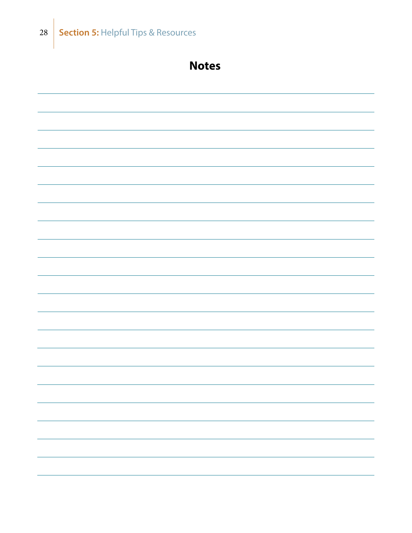

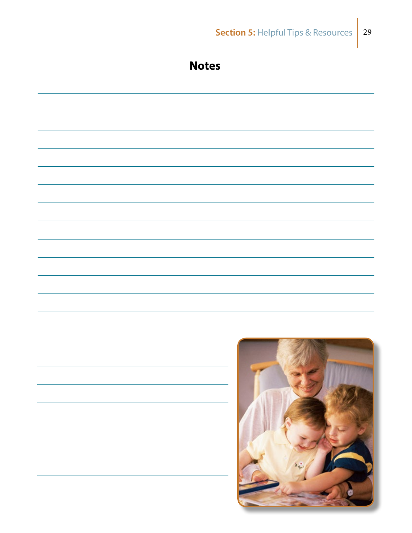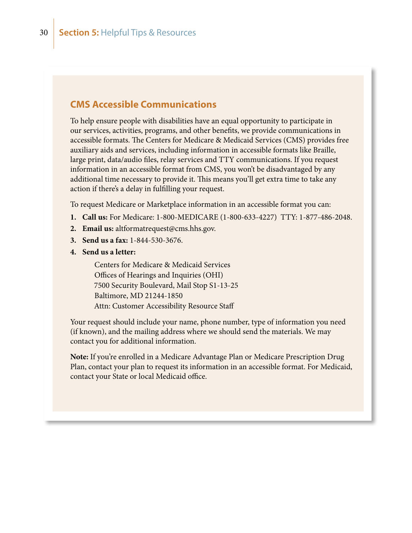### **CMS Accessible Communications**

To help ensure people with disabilities have an equal opportunity to participate in our services, activities, programs, and other benefits, we provide communications in accessible formats. The Centers for Medicare & Medicaid Services (CMS) provides free auxiliary aids and services, including information in accessible formats like Braille, large print, data/audio files, relay services and TTY communications. If you request information in an accessible format from CMS, you won't be disadvantaged by any additional time necessary to provide it. This means you'll get extra time to take any action if there's a delay in fulfilling your request.

To request Medicare or Marketplace information in an accessible format you can:

- **1. Call us:** For Medicare: 1-800-MEDICARE (1-800-633-4227) TTY: 1-877-486-2048.
- **2. Email us:** [altformatrequest@cms.hhs.gov](mailto:altformatrequest%40cms.hhs.gov?subject=).
- **3. Send us a fax:** 1-844-530-3676.
- **4. Send us a letter:**

Centers for Medicare & Medicaid Services Offices of Hearings and Inquiries (OHI) 7500 Security Boulevard, Mail Stop S1-13-25 Baltimore, MD 21244-1850 Attn: Customer Accessibility Resource Staff

Your request should include your name, phone number, type of information you need (if known), and the mailing address where we should send the materials. We may contact you for additional information.

**Note:** If you're enrolled in a Medicare Advantage Plan or Medicare Prescription Drug Plan, contact your plan to request its information in an accessible format. For Medicaid, contact your State or local Medicaid office.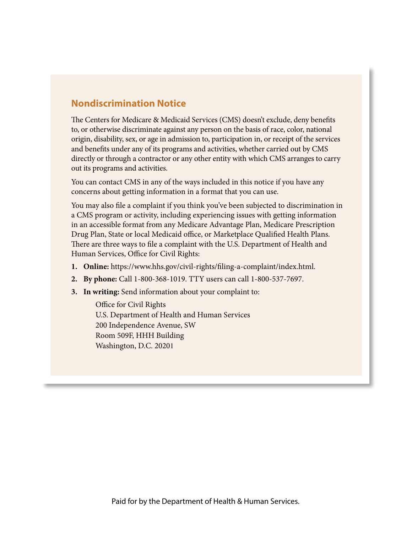### **Nondiscrimination Notice**

The Centers for Medicare & Medicaid Services (CMS) doesn't exclude, deny benefits to, or otherwise discriminate against any person on the basis of race, color, national origin, disability, sex, or age in admission to, participation in, or receipt of the services and benefits under any of its programs and activities, whether carried out by CMS directly or through a contractor or any other entity with which CMS arranges to carry out its programs and activities.

You can contact CMS in any of the ways included in this notice if you have any concerns about getting information in a format that you can use.

You may also file a complaint if you think you've been subjected to discrimination in a CMS program or activity, including experiencing issues with getting information in an accessible format from any Medicare Advantage Plan, Medicare Prescription Drug Plan, State or local Medicaid office, or Marketplace Qualified Health Plans. There are three ways to file a complaint with the U.S. Department of Health and Human Services, Office for Civil Rights:

- **1. Online:** <https://www.hhs.gov/civil-rights/filing-a-complaint/index.html>.
- **2. By phone:** Call 1-800-368-1019. TTY users can call 1-800-537-7697.
- **3. In writing:** Send information about your complaint to:

Office for Civil Rights U.S. Department of Health and Human Services 200 Independence Avenue, SW Room 509F, HHH Building Washington, D.C. 20201